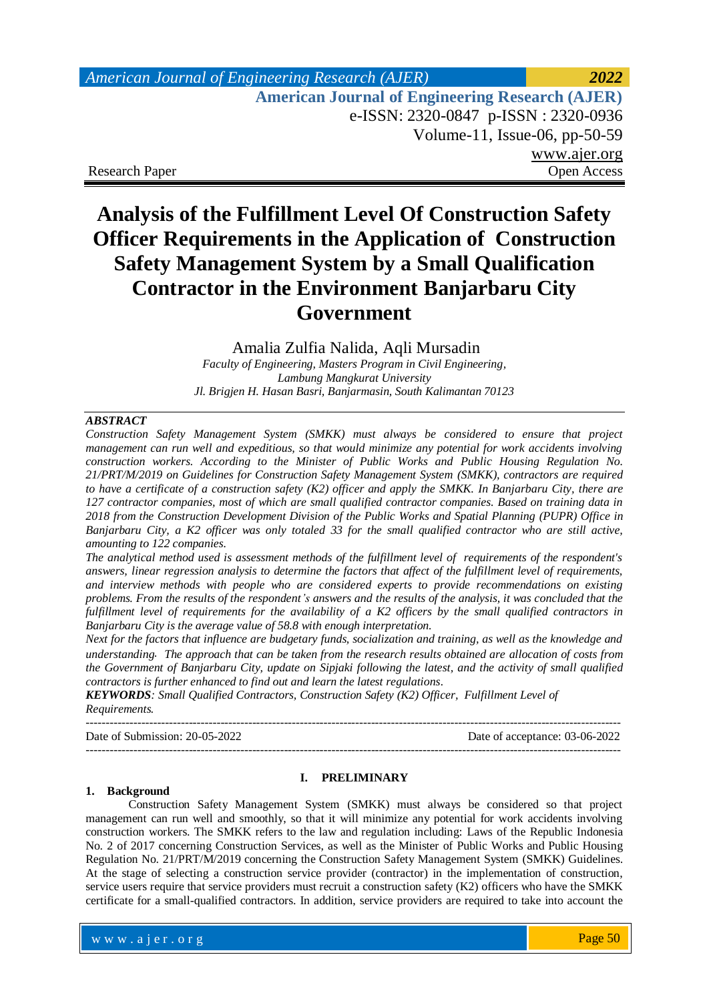| <b>American Journal of Engineering Research (AJER)</b> | 2022         |
|--------------------------------------------------------|--------------|
| <b>American Journal of Engineering Research (AJER)</b> |              |
| e-ISSN: 2320-0847 p-ISSN: 2320-0936                    |              |
| Volume-11, Issue-06, pp-50-59                          |              |
|                                                        | www.ajer.org |
| <b>Research Paper</b>                                  | Open Access  |

# **Analysis of the Fulfillment Level Of Construction Safety Officer Requirements in the Application of Construction Safety Management System by a Small Qualification Contractor in the Environment Banjarbaru City Government**

Amalia Zulfia Nalida, Aqli Mursadin *Faculty of Engineering, Masters Program in Civil Engineering, Lambung Mangkurat University Jl. Brigjen H. Hasan Basri, Banjarmasin, South Kalimantan 70123*

#### *ABSTRACT*

*Construction Safety Management System (SMKK) must always be considered to ensure that project management can run well and expeditious, so that would minimize any potential for work accidents involving construction workers. According to the Minister of Public Works and Public Housing Regulation No. 21/PRT/M/2019 on Guidelines for Construction Safety Management System (SMKK), contractors are required to have a certificate of a construction safety (K2) officer and apply the SMKK. In Banjarbaru City, there are 127 contractor companies, most of which are small qualified contractor companies. Based on training data in 2018 from the Construction Development Division of the Public Works and Spatial Planning (PUPR) Office in Banjarbaru City, a K2 officer was only totaled 33 for the small qualified contractor who are still active, amounting to 122 companies.* 

*The analytical method used is assessment methods of the fulfillment level of requirements of the respondent's answers, linear regression analysis to determine the factors that affect of the fulfillment level of requirements, and interview methods with people who are considered experts to provide recommendations on existing problems. From the results of the respondent's answers and the results of the analysis, it was concluded that the fulfillment level of requirements for the availability of a K2 officers by the small qualified contractors in Banjarbaru City is the average value of 58.8 with enough interpretation.*

*Next for the factors that influence are budgetary funds, socialization and training, as well as the knowledge and understanding. The approach that can be taken from the research results obtained are allocation of costs from the Government of Banjarbaru City, update on Sipjaki following the latest, and the activity of small qualified contractors is further enhanced to find out and learn the latest regulations.*

*KEYWORDS: Small Qualified Contractors, Construction Safety (K2) Officer, Fulfillment Level of Requirements.*

Date of Submission: 20-05-2022 Date of acceptance: 03-06-2022

---------------------------------------------------------------------------------------------------------------------------------------

---------------------------------------------------------------------------------------------------------------------------------------

#### **1. Background**

#### **I. PRELIMINARY**

Construction Safety Management System (SMKK) must always be considered so that project management can run well and smoothly, so that it will minimize any potential for work accidents involving construction workers. The SMKK refers to the law and regulation including: Laws of the Republic Indonesia No. 2 of 2017 concerning Construction Services, as well as the Minister of Public Works and Public Housing Regulation No. 21/PRT/M/2019 concerning the Construction Safety Management System (SMKK) Guidelines. At the stage of selecting a construction service provider (contractor) in the implementation of construction, service users require that service providers must recruit a construction safety (K2) officers who have the SMKK certificate for a small-qualified contractors. In addition, service providers are required to take into account the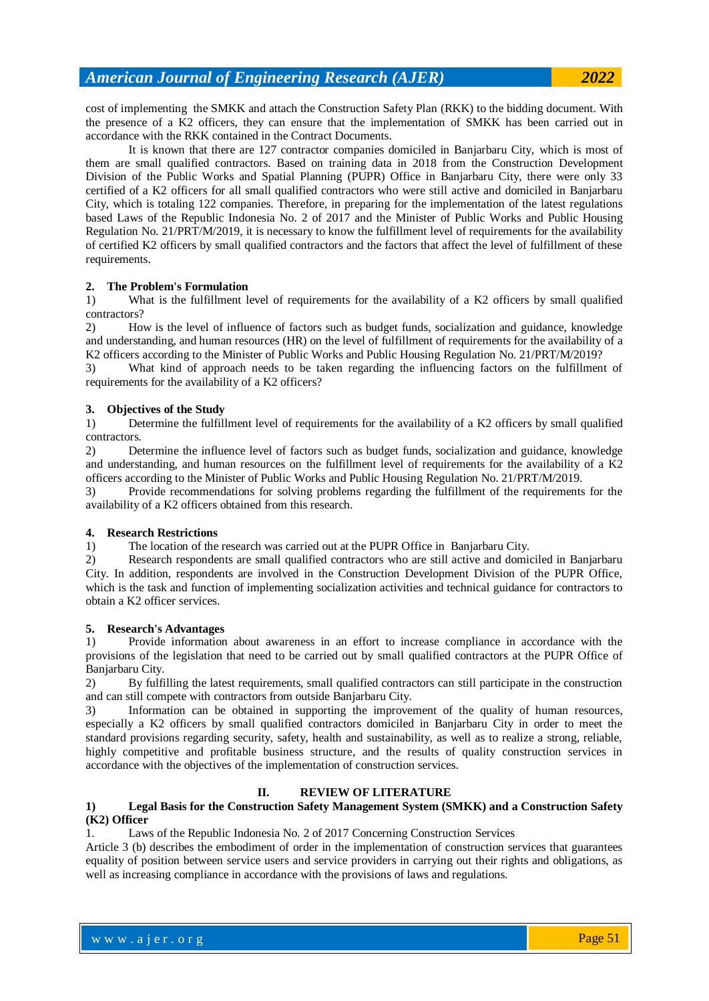cost of implementing the SMKK and attach the Construction Safety Plan (RKK) to the bidding document. With the presence of a K2 officers, they can ensure that the implementation of SMKK has been carried out in accordance with the RKK contained in the Contract Documents.

It is known that there are 127 contractor companies domiciled in Banjarbaru City, which is most of them are small qualified contractors. Based on training data in 2018 from the Construction Development Division of the Public Works and Spatial Planning (PUPR) Office in Banjarbaru City, there were only 33 certified of a K2 officers for all small qualified contractors who were still active and domiciled in Banjarbaru City, which is totaling 122 companies. Therefore, in preparing for the implementation of the latest regulations based Laws of the Republic Indonesia No. 2 of 2017 and the Minister of Public Works and Public Housing Regulation No. 21/PRT/M/2019, it is necessary to know the fulfillment level of requirements for the availability of certified K2 officers by small qualified contractors and the factors that affect the level of fulfillment of these requirements.

#### **2. The Problem's Formulation**

1) What is the fulfillment level of requirements for the availability of a K2 officers by small qualified contractors?

2) How is the level of influence of factors such as budget funds, socialization and guidance, knowledge and understanding, and human resources (HR) on the level of fulfillment of requirements for the availability of a K2 officers according to the Minister of Public Works and Public Housing Regulation No. 21/PRT/M/2019?

3) What kind of approach needs to be taken regarding the influencing factors on the fulfillment of requirements for the availability of a K2 officers?

#### **3. Objectives of the Study**

1) Determine the fulfillment level of requirements for the availability of a K2 officers by small qualified contractors.

2) Determine the influence level of factors such as budget funds, socialization and guidance, knowledge and understanding, and human resources on the fulfillment level of requirements for the availability of a K2 officers according to the Minister of Public Works and Public Housing Regulation No. 21/PRT/M/2019.

3) Provide recommendations for solving problems regarding the fulfillment of the requirements for the availability of a K2 officers obtained from this research.

#### **4. Research Restrictions**

1) The location of the research was carried out at the PUPR Office in Banjarbaru City.

2) Research respondents are small qualified contractors who are still active and domiciled in Banjarbaru City. In addition, respondents are involved in the Construction Development Division of the PUPR Office, which is the task and function of implementing socialization activities and technical guidance for contractors to obtain a K2 officer services.

#### **5. Research's Advantages**

1) Provide information about awareness in an effort to increase compliance in accordance with the provisions of the legislation that need to be carried out by small qualified contractors at the PUPR Office of Banjarbaru City.

2) By fulfilling the latest requirements, small qualified contractors can still participate in the construction and can still compete with contractors from outside Banjarbaru City.

3) Information can be obtained in supporting the improvement of the quality of human resources, especially a K2 officers by small qualified contractors domiciled in Banjarbaru City in order to meet the standard provisions regarding security, safety, health and sustainability, as well as to realize a strong, reliable, highly competitive and profitable business structure, and the results of quality construction services in accordance with the objectives of the implementation of construction services.

#### **II. REVIEW OF LITERATURE**

#### **1) Legal Basis for the Construction Safety Management System (SMKK) and a Construction Safety (K2) Officer**

#### 1. Laws of the Republic Indonesia No. 2 of 2017 Concerning Construction Services

Article 3 (b) describes the embodiment of order in the implementation of construction services that guarantees equality of position between service users and service providers in carrying out their rights and obligations, as well as increasing compliance in accordance with the provisions of laws and regulations.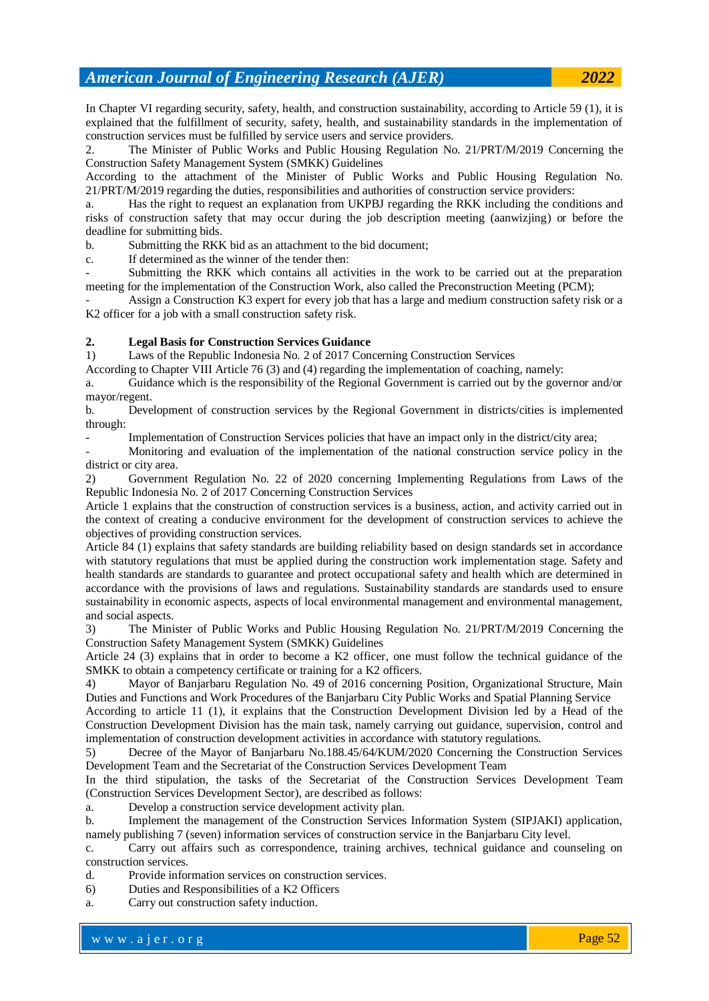In Chapter VI regarding security, safety, health, and construction sustainability, according to Article 59 (1), it is explained that the fulfillment of security, safety, health, and sustainability standards in the implementation of construction services must be fulfilled by service users and service providers.

2. The Minister of Public Works and Public Housing Regulation No. 21/PRT/M/2019 Concerning the Construction Safety Management System (SMKK) Guidelines

According to the attachment of the Minister of Public Works and Public Housing Regulation No. 21/PRT/M/2019 regarding the duties, responsibilities and authorities of construction service providers:

a. Has the right to request an explanation from UKPBJ regarding the RKK including the conditions and risks of construction safety that may occur during the job description meeting (aanwizjing) or before the deadline for submitting bids.

b. Submitting the RKK bid as an attachment to the bid document;

c. If determined as the winner of the tender then:

Submitting the RKK which contains all activities in the work to be carried out at the preparation meeting for the implementation of the Construction Work, also called the Preconstruction Meeting (PCM);

Assign a Construction K3 expert for every job that has a large and medium construction safety risk or a K<sub>2</sub> officer for a job with a small construction safety risk.

#### **2. Legal Basis for Construction Services Guidance**

1) Laws of the Republic Indonesia No. 2 of 2017 Concerning Construction Services

According to Chapter VIII Article 76 (3) and (4) regarding the implementation of coaching, namely:

a. Guidance which is the responsibility of the Regional Government is carried out by the governor and/or mayor/regent.

b. Development of construction services by the Regional Government in districts/cities is implemented through:

Implementation of Construction Services policies that have an impact only in the district/city area;

- Monitoring and evaluation of the implementation of the national construction service policy in the district or city area.

2) Government Regulation No. 22 of 2020 concerning Implementing Regulations from Laws of the Republic Indonesia No. 2 of 2017 Concerning Construction Services

Article 1 explains that the construction of construction services is a business, action, and activity carried out in the context of creating a conducive environment for the development of construction services to achieve the objectives of providing construction services.

Article 84 (1) explains that safety standards are building reliability based on design standards set in accordance with statutory regulations that must be applied during the construction work implementation stage. Safety and health standards are standards to guarantee and protect occupational safety and health which are determined in accordance with the provisions of laws and regulations. Sustainability standards are standards used to ensure sustainability in economic aspects, aspects of local environmental management and environmental management, and social aspects.

3) The Minister of Public Works and Public Housing Regulation No. 21/PRT/M/2019 Concerning the Construction Safety Management System (SMKK) Guidelines

Article 24 (3) explains that in order to become a K2 officer, one must follow the technical guidance of the SMKK to obtain a competency certificate or training for a K2 officers.

4) Mayor of Banjarbaru Regulation No. 49 of 2016 concerning Position, Organizational Structure, Main Duties and Functions and Work Procedures of the Banjarbaru City Public Works and Spatial Planning Service

According to article 11 (1), it explains that the Construction Development Division led by a Head of the Construction Development Division has the main task, namely carrying out guidance, supervision, control and implementation of construction development activities in accordance with statutory regulations.

5) Decree of the Mayor of Banjarbaru No.188.45/64/KUM/2020 Concerning the Construction Services Development Team and the Secretariat of the Construction Services Development Team

In the third stipulation, the tasks of the Secretariat of the Construction Services Development Team (Construction Services Development Sector), are described as follows:

a. Develop a construction service development activity plan.

b. Implement the management of the Construction Services Information System (SIPJAKI) application, namely publishing 7 (seven) information services of construction service in the Banjarbaru City level.

c. Carry out affairs such as correspondence, training archives, technical guidance and counseling on construction services.

d. Provide information services on construction services.

6) Duties and Responsibilities of a K2 Officers

a. Carry out construction safety induction.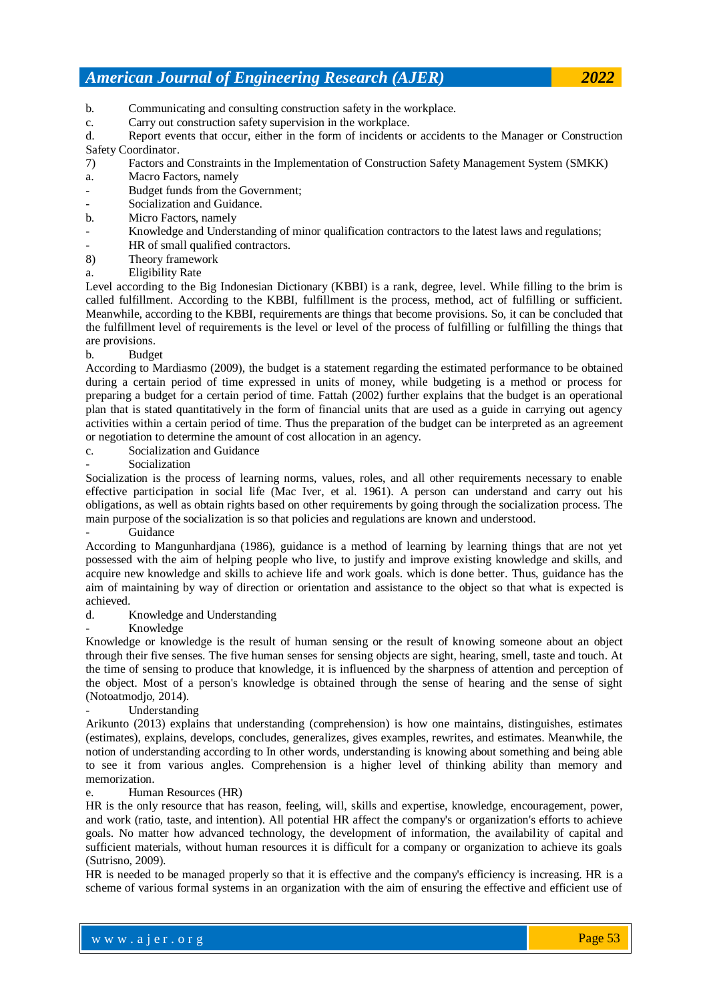- b. Communicating and consulting construction safety in the workplace.
- c. Carry out construction safety supervision in the workplace.

d. Report events that occur, either in the form of incidents or accidents to the Manager or Construction Safety Coordinator.

- 7) Factors and Constraints in the Implementation of Construction Safety Management System (SMKK)
- a. Macro Factors, namely
- Budget funds from the Government;
- Socialization and Guidance.
- b. Micro Factors, namely
- Knowledge and Understanding of minor qualification contractors to the latest laws and regulations;
- HR of small qualified contractors.
- 8) Theory framework
- a. Eligibility Rate

Level according to the Big Indonesian Dictionary (KBBI) is a rank, degree, level. While filling to the brim is called fulfillment. According to the KBBI, fulfillment is the process, method, act of fulfilling or sufficient. Meanwhile, according to the KBBI, requirements are things that become provisions. So, it can be concluded that the fulfillment level of requirements is the level or level of the process of fulfilling or fulfilling the things that are provisions.

b. Budget

According to Mardiasmo (2009), the budget is a statement regarding the estimated performance to be obtained during a certain period of time expressed in units of money, while budgeting is a method or process for preparing a budget for a certain period of time. Fattah (2002) further explains that the budget is an operational plan that is stated quantitatively in the form of financial units that are used as a guide in carrying out agency activities within a certain period of time. Thus the preparation of the budget can be interpreted as an agreement or negotiation to determine the amount of cost allocation in an agency.

- c. Socialization and Guidance
- **Socialization**

Socialization is the process of learning norms, values, roles, and all other requirements necessary to enable effective participation in social life (Mac Iver, et al. 1961). A person can understand and carry out his obligations, as well as obtain rights based on other requirements by going through the socialization process. The main purpose of the socialization is so that policies and regulations are known and understood.

**Guidance** 

According to Mangunhardjana (1986), guidance is a method of learning by learning things that are not yet possessed with the aim of helping people who live, to justify and improve existing knowledge and skills, and acquire new knowledge and skills to achieve life and work goals. which is done better. Thus, guidance has the aim of maintaining by way of direction or orientation and assistance to the object so that what is expected is achieved.

- d. Knowledge and Understanding
- Knowledge

Knowledge or knowledge is the result of human sensing or the result of knowing someone about an object through their five senses. The five human senses for sensing objects are sight, hearing, smell, taste and touch. At the time of sensing to produce that knowledge, it is influenced by the sharpness of attention and perception of the object. Most of a person's knowledge is obtained through the sense of hearing and the sense of sight (Notoatmodjo, 2014).

- Understanding

Arikunto (2013) explains that understanding (comprehension) is how one maintains, distinguishes, estimates (estimates), explains, develops, concludes, generalizes, gives examples, rewrites, and estimates. Meanwhile, the notion of understanding according to In other words, understanding is knowing about something and being able to see it from various angles. Comprehension is a higher level of thinking ability than memory and memorization.

#### e. Human Resources (HR)

HR is the only resource that has reason, feeling, will, skills and expertise, knowledge, encouragement, power, and work (ratio, taste, and intention). All potential HR affect the company's or organization's efforts to achieve goals. No matter how advanced technology, the development of information, the availability of capital and sufficient materials, without human resources it is difficult for a company or organization to achieve its goals (Sutrisno, 2009).

HR is needed to be managed properly so that it is effective and the company's efficiency is increasing. HR is a scheme of various formal systems in an organization with the aim of ensuring the effective and efficient use of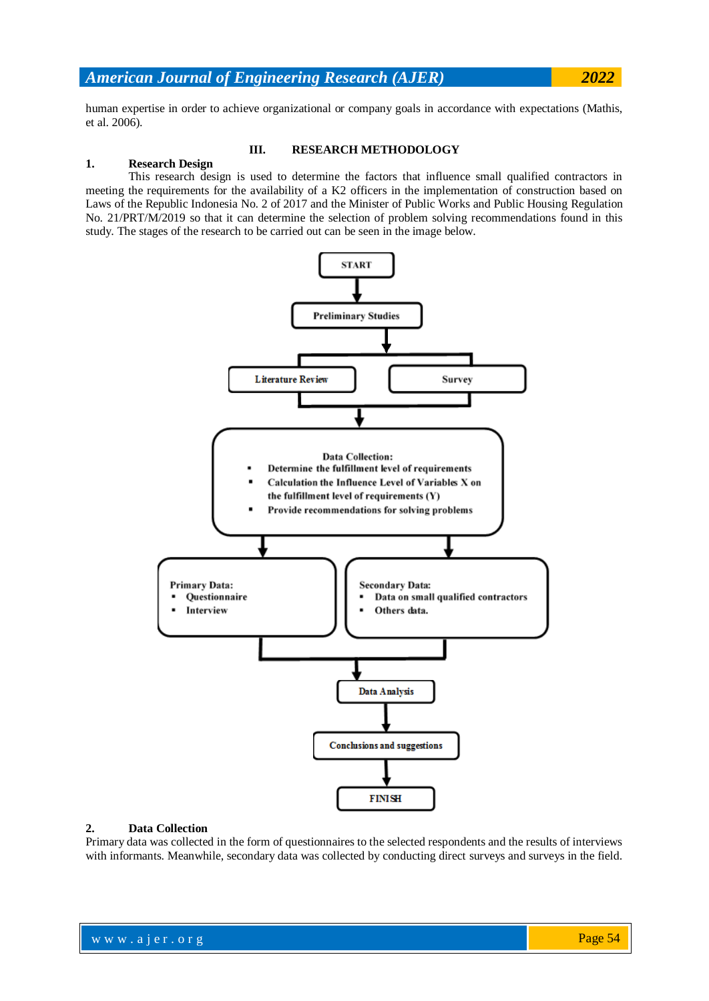human expertise in order to achieve organizational or company goals in accordance with expectations (Mathis, et al. 2006).

#### **III. RESEARCH METHODOLOGY**

#### **1. Research Design**

This research design is used to determine the factors that influence small qualified contractors in meeting the requirements for the availability of a K2 officers in the implementation of construction based on Laws of the Republic Indonesia No. 2 of 2017 and the Minister of Public Works and Public Housing Regulation No. 21/PRT/M/2019 so that it can determine the selection of problem solving recommendations found in this study. The stages of the research to be carried out can be seen in the image below.



#### **2. Data Collection**

Primary data was collected in the form of questionnaires to the selected respondents and the results of interviews with informants. Meanwhile, secondary data was collected by conducting direct surveys and surveys in the field.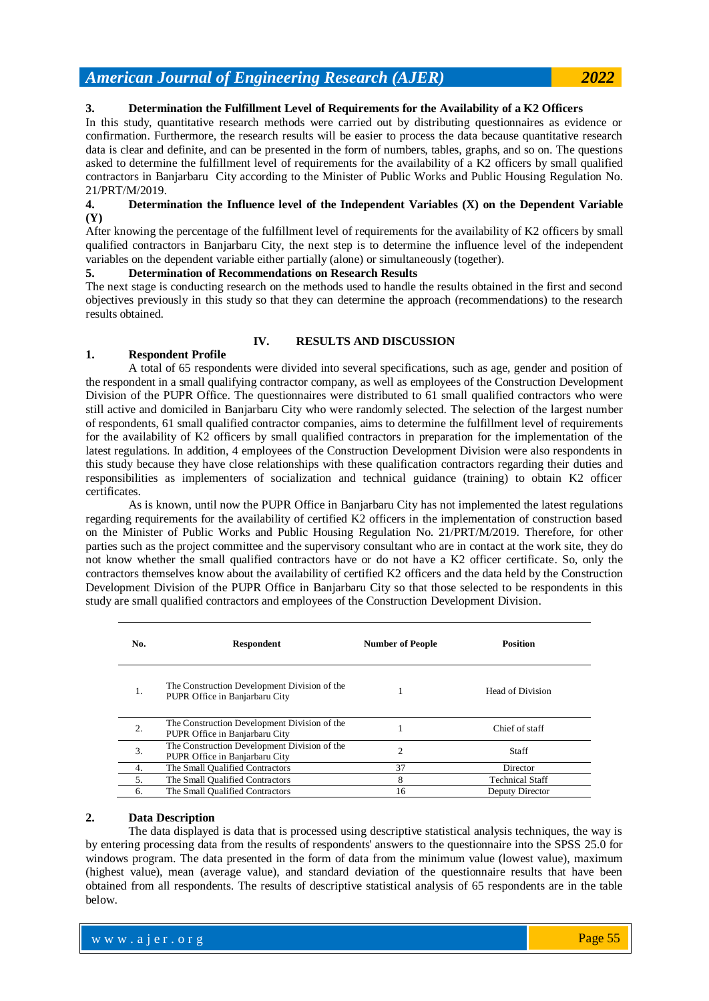#### **3. Determination the Fulfillment Level of Requirements for the Availability of a K2 Officers**

In this study, quantitative research methods were carried out by distributing questionnaires as evidence or confirmation. Furthermore, the research results will be easier to process the data because quantitative research data is clear and definite, and can be presented in the form of numbers, tables, graphs, and so on. The questions asked to determine the fulfillment level of requirements for the availability of a K2 officers by small qualified contractors in Banjarbaru City according to the Minister of Public Works and Public Housing Regulation No. 21/PRT/M/2019.

#### **4. Determination the Influence level of the Independent Variables (X) on the Dependent Variable (Y)**

After knowing the percentage of the fulfillment level of requirements for the availability of K2 officers by small qualified contractors in Banjarbaru City, the next step is to determine the influence level of the independent variables on the dependent variable either partially (alone) or simultaneously (together).

#### **5. Determination of Recommendations on Research Results**

The next stage is conducting research on the methods used to handle the results obtained in the first and second objectives previously in this study so that they can determine the approach (recommendations) to the research results obtained.

#### **IV. RESULTS AND DISCUSSION**

### **1. Respondent Profile**

A total of 65 respondents were divided into several specifications, such as age, gender and position of the respondent in a small qualifying contractor company, as well as employees of the Construction Development Division of the PUPR Office. The questionnaires were distributed to 61 small qualified contractors who were still active and domiciled in Banjarbaru City who were randomly selected. The selection of the largest number of respondents, 61 small qualified contractor companies, aims to determine the fulfillment level of requirements for the availability of K2 officers by small qualified contractors in preparation for the implementation of the latest regulations. In addition, 4 employees of the Construction Development Division were also respondents in this study because they have close relationships with these qualification contractors regarding their duties and responsibilities as implementers of socialization and technical guidance (training) to obtain K2 officer certificates.

As is known, until now the PUPR Office in Banjarbaru City has not implemented the latest regulations regarding requirements for the availability of certified K2 officers in the implementation of construction based on the Minister of Public Works and Public Housing Regulation No. 21/PRT/M/2019. Therefore, for other parties such as the project committee and the supervisory consultant who are in contact at the work site, they do not know whether the small qualified contractors have or do not have a K2 officer certificate. So, only the contractors themselves know about the availability of certified K2 officers and the data held by the Construction Development Division of the PUPR Office in Banjarbaru City so that those selected to be respondents in this study are small qualified contractors and employees of the Construction Development Division.

| No. | <b>Respondent</b>                                                              | <b>Number of People</b> | <b>Position</b>        |
|-----|--------------------------------------------------------------------------------|-------------------------|------------------------|
| 1.  | The Construction Development Division of the<br>PUPR Office in Banjarbaru City |                         | Head of Division       |
| 2.  | The Construction Development Division of the<br>PUPR Office in Banjarbaru City |                         | Chief of staff         |
| 3.  | The Construction Development Division of the<br>PUPR Office in Banjarbaru City | $\overline{c}$          | <b>Staff</b>           |
| 4.  | The Small Qualified Contractors                                                | 37                      | Director               |
| 5.  | The Small Qualified Contractors                                                | 8                       | <b>Technical Staff</b> |
| 6.  | The Small Qualified Contractors                                                | 16                      | Deputy Director        |

#### **2. Data Description**

The data displayed is data that is processed using descriptive statistical analysis techniques, the way is by entering processing data from the results of respondents' answers to the questionnaire into the SPSS 25.0 for windows program. The data presented in the form of data from the minimum value (lowest value), maximum (highest value), mean (average value), and standard deviation of the questionnaire results that have been obtained from all respondents. The results of descriptive statistical analysis of 65 respondents are in the table below.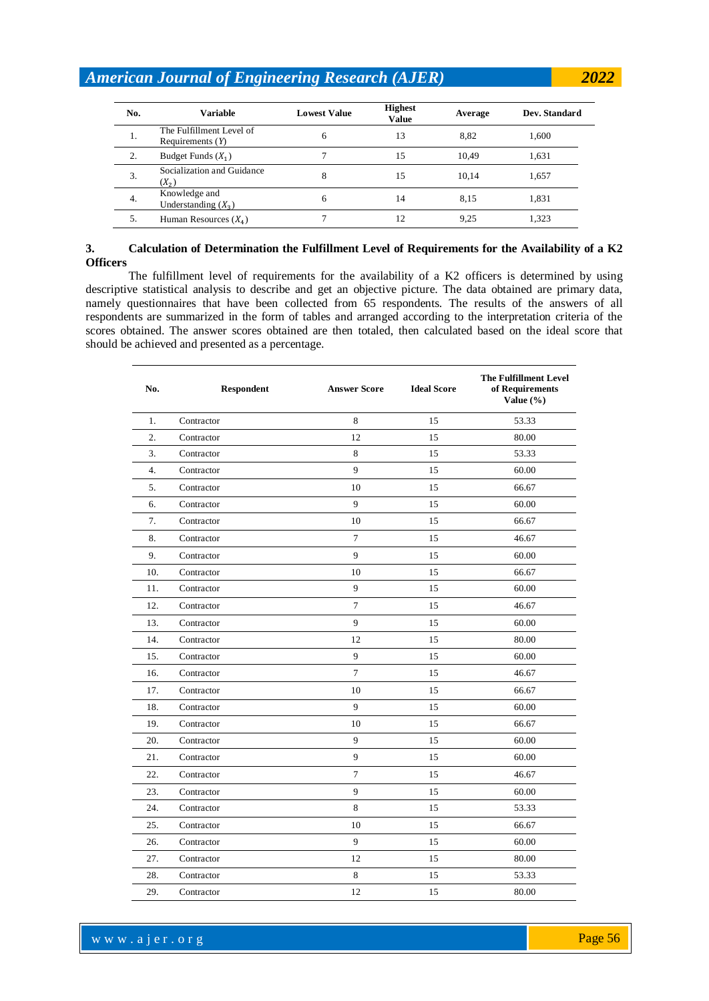| No. | <b>Variable</b>                                | <b>Lowest Value</b> | <b>Highest</b><br>Value | Average | Dev. Standard |
|-----|------------------------------------------------|---------------------|-------------------------|---------|---------------|
| 1.  | The Fulfillment Level of<br>Requirements $(Y)$ | 6                   | 13                      | 8.82    | 1,600         |
| 2.  | Budget Funds $(X_1)$                           |                     | 15                      | 10,49   | 1,631         |
| 3.  | Socialization and Guidance<br>$(X_2)$          | 8                   | 15                      | 10.14   | 1,657         |
| 4.  | Knowledge and<br>Understanding $(X_3)$         | 6                   | 14                      | 8,15    | 1,831         |
| 5.  | Human Resources $(X_4)$                        |                     | 12                      | 9,25    | 1,323         |

#### **3. Calculation of Determination the Fulfillment Level of Requirements for the Availability of a K2 Officers**

The fulfillment level of requirements for the availability of a K2 officers is determined by using descriptive statistical analysis to describe and get an objective picture. The data obtained are primary data, namely questionnaires that have been collected from 65 respondents. The results of the answers of all respondents are summarized in the form of tables and arranged according to the interpretation criteria of the scores obtained. The answer scores obtained are then totaled, then calculated based on the ideal score that should be achieved and presented as a percentage.

| No.              | <b>Respondent</b> | <b>Answer Score</b> | <b>Ideal Score</b> | <b>The Fulfillment Level</b><br>of Requirements<br>Value (%) |
|------------------|-------------------|---------------------|--------------------|--------------------------------------------------------------|
| 1.               | Contractor        | 8                   | 15                 | 53.33                                                        |
| 2.               | Contractor        | 12                  | 15                 | 80.00                                                        |
| 3.               | Contractor        | 8                   | 15                 | 53.33                                                        |
| $\overline{4}$ . | Contractor        | 9                   | 15                 | 60.00                                                        |
| 5.               | Contractor        | 10                  | 15                 | 66.67                                                        |
| 6.               | Contractor        | 9                   | 15                 | 60.00                                                        |
| 7.               | Contractor        | 10                  | 15                 | 66.67                                                        |
| 8.               | Contractor        | $\overline{7}$      | 15                 | 46.67                                                        |
| 9.               | Contractor        | 9                   | 15                 | 60.00                                                        |
| 10.              | Contractor        | 10                  | 15                 | 66.67                                                        |
| 11.              | Contractor        | 9                   | 15                 | 60.00                                                        |
| 12.              | Contractor        | 7                   | 15                 | 46.67                                                        |
| 13.              | Contractor        | 9                   | 15                 | 60.00                                                        |
| 14.              | Contractor        | 12                  | 15                 | 80.00                                                        |
| 15.              | Contractor        | 9                   | 15                 | 60.00                                                        |
| 16.              | Contractor        | $\overline{7}$      | 15                 | 46.67                                                        |
| 17.              | Contractor        | 10                  | 15                 | 66.67                                                        |
| 18.              | Contractor        | 9                   | 15                 | 60.00                                                        |
| 19.              | Contractor        | 10                  | 15                 | 66.67                                                        |
| 20.              | Contractor        | 9                   | 15                 | 60.00                                                        |
| 21.              | Contractor        | 9                   | 15                 | 60.00                                                        |
| 22.              | Contractor        | $\overline{7}$      | 15                 | 46.67                                                        |
| 23.              | Contractor        | 9                   | 15                 | 60.00                                                        |
| 24.              | Contractor        | 8                   | 15                 | 53.33                                                        |
| 25.              | Contractor        | 10                  | 15                 | 66.67                                                        |
| 26.              | Contractor        | 9                   | 15                 | 60.00                                                        |
| 27.              | Contractor        | 12                  | 15                 | 80.00                                                        |
| 28.              | Contractor        | 8                   | 15                 | 53.33                                                        |
| 29.              | Contractor        | 12                  | 15                 | 80.00                                                        |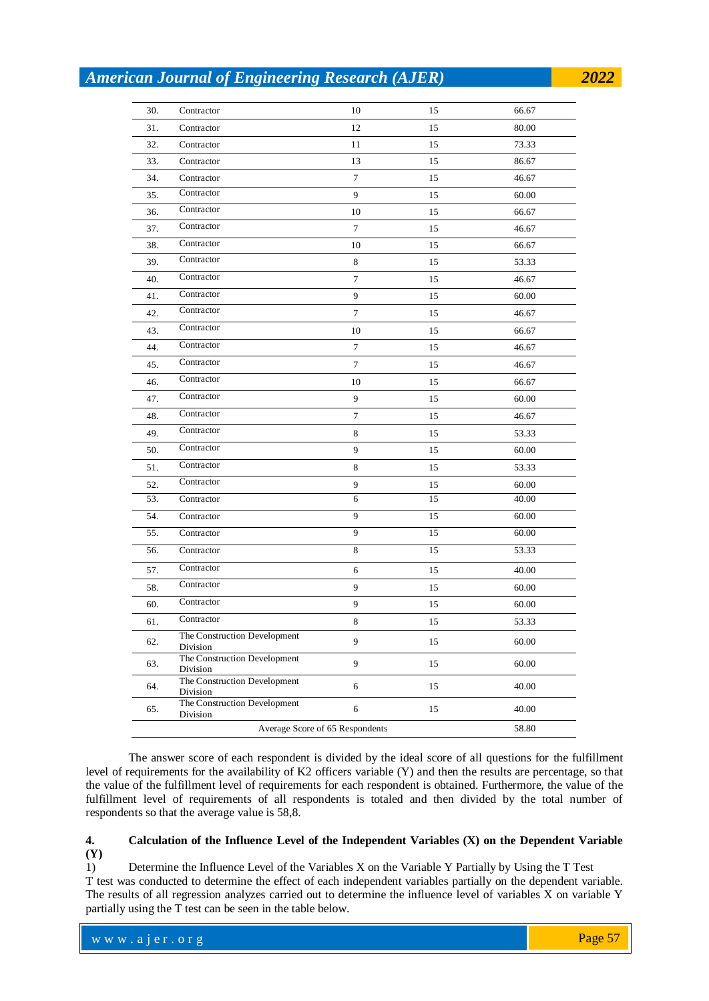| 30. | Contractor                               | 10      | 15 | 66.67 |
|-----|------------------------------------------|---------|----|-------|
| 31. | Contractor                               | 12      | 15 | 80.00 |
| 32. | Contractor                               | 11      | 15 | 73.33 |
| 33. | Contractor                               | 13      | 15 | 86.67 |
| 34. | Contractor                               | $\tau$  | 15 | 46.67 |
| 35. | Contractor                               | 9       | 15 | 60.00 |
| 36. | Contractor                               | 10      | 15 | 66.67 |
| 37. | Contractor                               | 7       | 15 | 46.67 |
| 38. | Contractor                               | 10      | 15 | 66.67 |
| 39. | Contractor                               | $\,8\,$ | 15 | 53.33 |
| 40. | Contractor                               | 7       | 15 | 46.67 |
| 41. | Contractor                               | 9       | 15 | 60.00 |
| 42. | Contractor                               | $\tau$  | 15 | 46.67 |
| 43. | Contractor                               | $10\,$  | 15 | 66.67 |
| 44. | Contractor                               | $\tau$  | 15 | 46.67 |
| 45. | Contractor                               | $\tau$  | 15 | 46.67 |
| 46. | Contractor                               | 10      | 15 | 66.67 |
| 47. | Contractor                               | 9       | 15 | 60.00 |
| 48. | Contractor                               | $\tau$  | 15 | 46.67 |
| 49. | Contractor                               | $\,8\,$ | 15 | 53.33 |
| 50. | Contractor                               | 9       | 15 | 60.00 |
| 51. | Contractor                               | 8       | 15 | 53.33 |
| 52. | Contractor                               | 9       | 15 | 60.00 |
| 53. | Contractor                               | 6       | 15 | 40.00 |
| 54. | Contractor                               | 9       | 15 | 60.00 |
| 55. | Contractor                               | 9       | 15 | 60.00 |
| 56. | Contractor                               | $\,8\,$ | 15 | 53.33 |
| 57. | Contractor                               | 6       | 15 | 40.00 |
| 58. | Contractor                               | 9       | 15 | 60.00 |
| 60. | Contractor                               | 9       | 15 | 60.00 |
| 61. | Contractor                               | 8       | 15 | 53.33 |
| 62. | The Construction Development<br>Division | 9       | 15 | 60.00 |
| 63. | The Construction Development<br>Division | 9       | 15 | 60.00 |
| 64. | The Construction Development<br>Division | 6       | 15 | 40.00 |
| 65. | The Construction Development<br>Division | 6       | 15 | 40.00 |
|     | 58.80                                    |         |    |       |

The answer score of each respondent is divided by the ideal score of all questions for the fulfillment level of requirements for the availability of K2 officers variable (Y) and then the results are percentage, so that the value of the fulfillment level of requirements for each respondent is obtained. Furthermore, the value of the fulfillment level of requirements of all respondents is totaled and then divided by the total number of respondents so that the average value is 58,8.

#### **4. Calculation of the Influence Level of the Independent Variables (X) on the Dependent Variable (Y)**

1) Determine the Influence Level of the Variables X on the Variable Y Partially by Using the T Test T test was conducted to determine the effect of each independent variables partially on the dependent variable. The results of all regression analyzes carried out to determine the influence level of variables X on variable Y partially using the T test can be seen in the table below.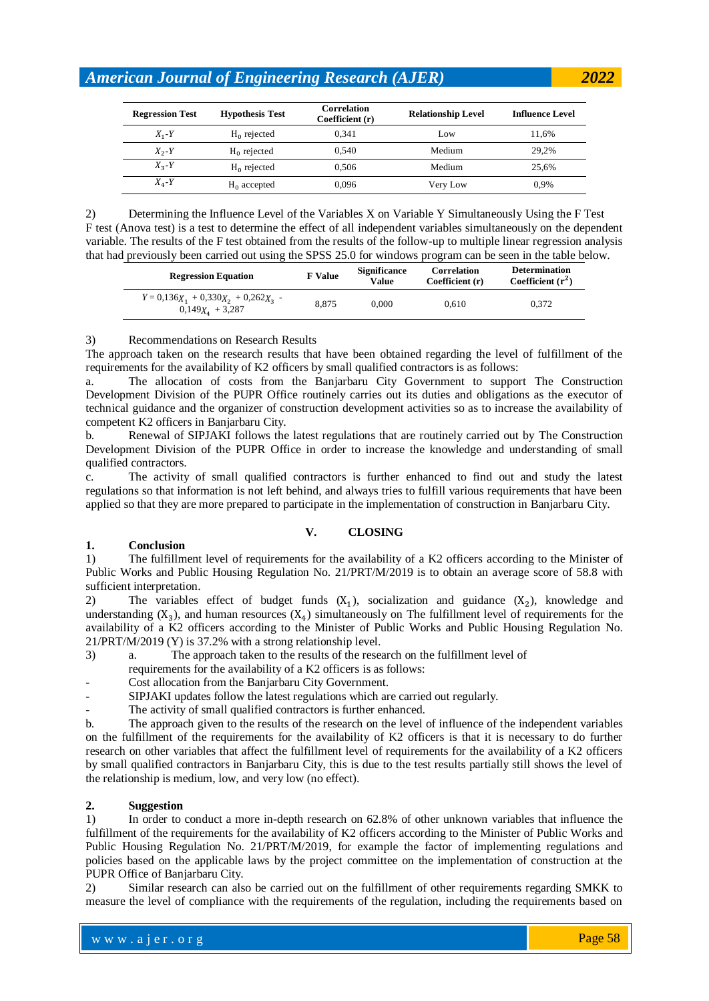| <b>Regression Test</b> | <b>Hypothesis Test</b> | <b>Correlation</b><br><b>Relationship Level</b><br>Coefficient (r) |          | <b>Influence Level</b> |
|------------------------|------------------------|--------------------------------------------------------------------|----------|------------------------|
| $X_1 - Y$              | $H_0$ rejected         | 0.341                                                              | Low      | 11.6%                  |
| $X_2 - Y$              | $H_0$ rejected         | 0.540                                                              | Medium   | 29.2%                  |
| $X_{2}$ -Y             | $H_0$ rejected         | 0.506                                                              | Medium   | 25.6%                  |
| $X_4$ -Y               | $H_0$ accepted         | 0,096                                                              | Very Low | 0.9%                   |

2) Determining the Influence Level of the Variables X on Variable Y Simultaneously Using the F Test F test (Anova test) is a test to determine the effect of all independent variables simultaneously on the dependent variable. The results of the F test obtained from the results of the follow-up to multiple linear regression analysis that had previously been carried out using the SPSS 25.0 for windows program can be seen in the table below.

| <b>Regression Equation</b>                                   | <b>F</b> Value | <b>Significance</b><br>Value | Correlation<br>Coefficient (r) | <b>Determination</b><br>Coefficient $(r^2)$ |
|--------------------------------------------------------------|----------------|------------------------------|--------------------------------|---------------------------------------------|
| $Y = 0.136X_1 + 0.330X_2 + 0.262X_3$ -<br>$0,149X_4 + 3,287$ | 8.875          | 0.000                        | 0.610                          | 0.372                                       |

#### 3) Recommendations on Research Results

The approach taken on the research results that have been obtained regarding the level of fulfillment of the requirements for the availability of K2 officers by small qualified contractors is as follows:

a. The allocation of costs from the Banjarbaru City Government to support The Construction Development Division of the PUPR Office routinely carries out its duties and obligations as the executor of technical guidance and the organizer of construction development activities so as to increase the availability of competent K2 officers in Banjarbaru City.

b. Renewal of SIPJAKI follows the latest regulations that are routinely carried out by The Construction Development Division of the PUPR Office in order to increase the knowledge and understanding of small qualified contractors.

c. The activity of small qualified contractors is further enhanced to find out and study the latest regulations so that information is not left behind, and always tries to fulfill various requirements that have been applied so that they are more prepared to participate in the implementation of construction in Banjarbaru City.

#### **V. CLOSING**

#### **1. Conclusion**

1) The fulfillment level of requirements for the availability of a K2 officers according to the Minister of Public Works and Public Housing Regulation No. 21/PRT/M/2019 is to obtain an average score of 58.8 with sufficient interpretation.

2) The variables effect of budget funds  $(X_1)$ , socialization and guidance  $(X_2)$ , knowledge and understanding  $(X_3)$ , and human resources  $(X_4)$  simultaneously on The fulfillment level of requirements for the availability of a K2 officers according to the Minister of Public Works and Public Housing Regulation No. 21/PRT/M/2019 (Y) is 37.2% with a strong relationship level.

- 3) a. The approach taken to the results of the research on the fulfillment level of
- requirements for the availability of a K2 officers is as follows:
- Cost allocation from the Banjarbaru City Government.
- SIPJAKI updates follow the latest regulations which are carried out regularly.
- The activity of small qualified contractors is further enhanced.

b. The approach given to the results of the research on the level of influence of the independent variables on the fulfillment of the requirements for the availability of K2 officers is that it is necessary to do further research on other variables that affect the fulfillment level of requirements for the availability of a K2 officers by small qualified contractors in Banjarbaru City, this is due to the test results partially still shows the level of the relationship is medium, low, and very low (no effect).

#### **2. Suggestion**

1) In order to conduct a more in-depth research on 62.8% of other unknown variables that influence the fulfillment of the requirements for the availability of K2 officers according to the Minister of Public Works and Public Housing Regulation No. 21/PRT/M/2019, for example the factor of implementing regulations and policies based on the applicable laws by the project committee on the implementation of construction at the PUPR Office of Banjarbaru City.

2) Similar research can also be carried out on the fulfillment of other requirements regarding SMKK to measure the level of compliance with the requirements of the regulation, including the requirements based on